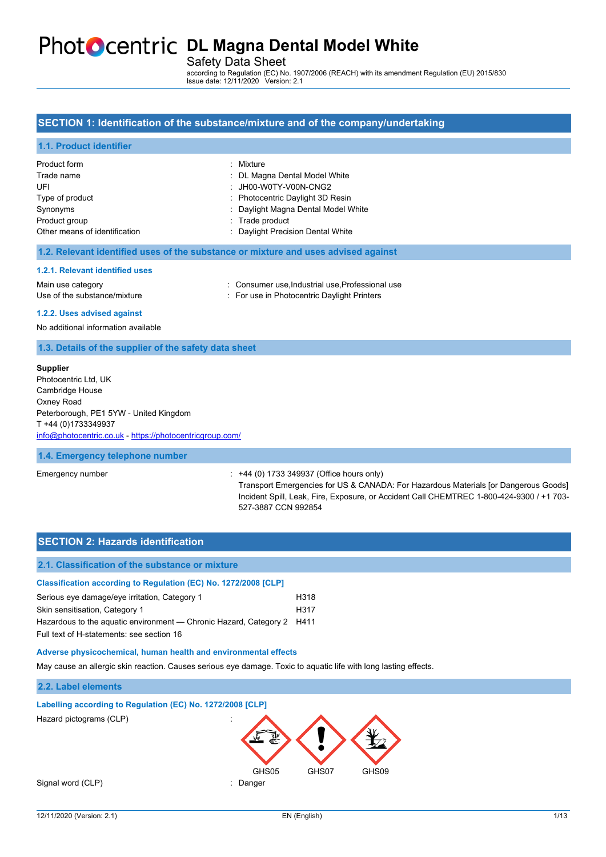# **PhotoCentric DL Magna Dental Model White**

Safety Data Sheet

according to Regulation (EC) No. 1907/2006 (REACH) with its amendment Regulation (EU) 2015/830 Issue date: 12/11/2020 Version: 2.1

### **SECTION 1: Identification of the substance/mixture and of the company/undertaking**

# **1.1. Product identifier**

| Product form                  | : Mixture                           |
|-------------------------------|-------------------------------------|
| Trade name                    | : DL Magna Dental Model White       |
| UFI                           | $:$ JH00-W0TY-V00N-CNG2             |
| Type of product               | : Photocentric Daylight 3D Resin    |
| Synonyms                      | : Daylight Magna Dental Model White |
| Product group                 | : Trade product                     |
| Other means of identification | : Daylight Precision Dental White   |

#### **1.2. Relevant identified uses of the substance or mixture and uses advised against**

#### **1.2.1. Relevant identified uses**

Use of the substance/mixture in For use in Photocentric Daylight Printers

Main use category **interpretent in the Consumer use, Industrial use, Professional use** 

**1.2.2. Uses advised against**

No additional information available

#### **1.3. Details of the supplier of the safety data sheet**

#### **Supplier**

Photocentric Ltd, UK Cambridge House Oxney Road Peterborough, PE1 5YW - United Kingdom T +44 (0)1733349937 [info@photocentric.co.uk](mailto:info@photocentric.co.uk) -<https://photocentricgroup.com/>

#### **1.4. Emergency telephone number**

#### Emergency number : +44 (0) 1733 349937 (Office hours only)

Transport Emergencies for US & CANADA: For Hazardous Materials [or Dangerous Goods] Incident Spill, Leak, Fire, Exposure, or Accident Call CHEMTREC 1-800-424-9300 / +1 703- 527-3887 CCN 992854

# **SECTION 2: Hazards identification 2.1. Classification of the substance or mixture Classification according to Regulation (EC) No. 1272/2008 [CLP]** Serious eye damage/eye irritation, Category 1 Theorem 1 Skin sensitisation, Category 1 H317 Hazardous to the aquatic environment — Chronic Hazard, Category 2 H411 Full text of H-statements: see section 16 **Adverse physicochemical, human health and environmental effects** May cause an allergic skin reaction. Causes serious eye damage. Toxic to aquatic life with long lasting effects. **2.2. Label elements**

#### **Labelling according to Regulation (EC) No. 1272/2008 [CLP]**

Hazard pictograms (CLP) :

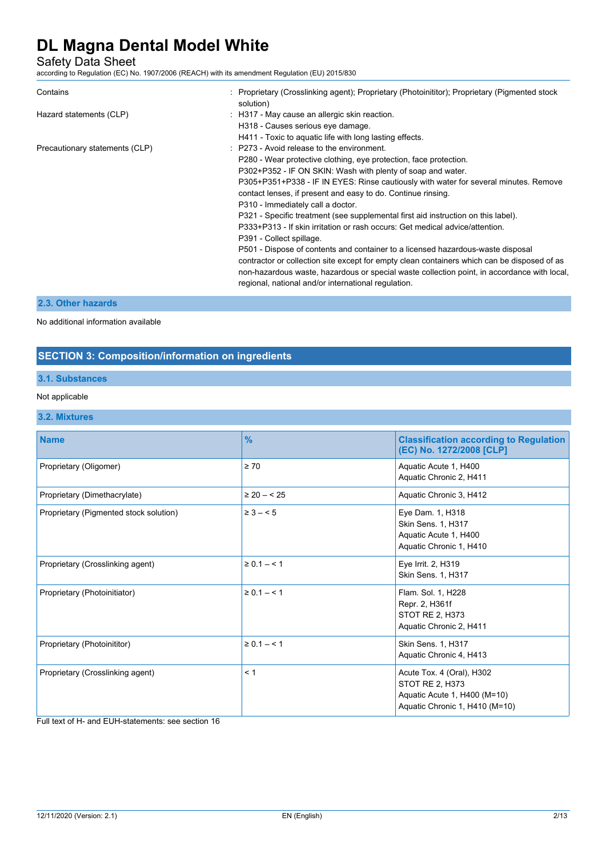Safety Data Sheet

according to Regulation (EC) No. 1907/2006 (REACH) with its amendment Regulation (EU) 2015/830

| Contains                       | : Proprietary (Crosslinking agent); Proprietary (Photoinititor); Proprietary (Pigmented stock<br>solution)                                                                                                                                                                                                                                                                                                                                                                                                                                                                                                                                                                                                                                                                                                                                                                                                           |
|--------------------------------|----------------------------------------------------------------------------------------------------------------------------------------------------------------------------------------------------------------------------------------------------------------------------------------------------------------------------------------------------------------------------------------------------------------------------------------------------------------------------------------------------------------------------------------------------------------------------------------------------------------------------------------------------------------------------------------------------------------------------------------------------------------------------------------------------------------------------------------------------------------------------------------------------------------------|
| Hazard statements (CLP)        | : H317 - May cause an allergic skin reaction.<br>H318 - Causes serious eye damage.<br>H411 - Toxic to aquatic life with long lasting effects.                                                                                                                                                                                                                                                                                                                                                                                                                                                                                                                                                                                                                                                                                                                                                                        |
| Precautionary statements (CLP) | : P273 - Avoid release to the environment.<br>P280 - Wear protective clothing, eye protection, face protection.<br>P302+P352 - IF ON SKIN: Wash with plenty of soap and water.<br>P305+P351+P338 - IF IN EYES: Rinse cautiously with water for several minutes. Remove<br>contact lenses, if present and easy to do. Continue rinsing.<br>P310 - Immediately call a doctor.<br>P321 - Specific treatment (see supplemental first aid instruction on this label).<br>P333+P313 - If skin irritation or rash occurs: Get medical advice/attention.<br>P391 - Collect spillage.<br>P501 - Dispose of contents and container to a licensed hazardous-waste disposal<br>contractor or collection site except for empty clean containers which can be disposed of as<br>non-hazardous waste, hazardous or special waste collection point, in accordance with local,<br>regional, national and/or international regulation. |

## **2.3. Other hazards**

No additional information available

## **SECTION 3: Composition/information on ingredients**

## **3.1. Substances**

### Not applicable

### **3.2. Mixtures**

| <b>Name</b>                            | $\frac{9}{6}$   | <b>Classification according to Regulation</b><br>(EC) No. 1272/2008 [CLP]                                      |
|----------------------------------------|-----------------|----------------------------------------------------------------------------------------------------------------|
| Proprietary (Oligomer)                 | $\geq 70$       | Aquatic Acute 1, H400<br>Aquatic Chronic 2, H411                                                               |
| Proprietary (Dimethacrylate)           | $\geq 20 - 525$ | Aquatic Chronic 3, H412                                                                                        |
| Proprietary (Pigmented stock solution) | $\geq 3 - 5$    | Eye Dam. 1, H318<br>Skin Sens. 1, H317<br>Aquatic Acute 1, H400<br>Aquatic Chronic 1, H410                     |
| Proprietary (Crosslinking agent)       | $\ge 0.1 - 1$   | Eye Irrit. 2, H319<br>Skin Sens. 1, H317                                                                       |
| Proprietary (Photoinitiator)           | $\ge 0.1 - 1$   | Flam. Sol. 1, H228<br>Repr. 2, H361f<br>STOT RE 2, H373<br>Aquatic Chronic 2, H411                             |
| Proprietary (Photoinititor)            | $\ge 0.1 - 1$   | Skin Sens. 1, H317<br>Aquatic Chronic 4, H413                                                                  |
| Proprietary (Crosslinking agent)       | < 1             | Acute Tox. 4 (Oral), H302<br>STOT RE 2, H373<br>Aquatic Acute 1, H400 (M=10)<br>Aquatic Chronic 1, H410 (M=10) |

Full text of H- and EUH-statements: see section 16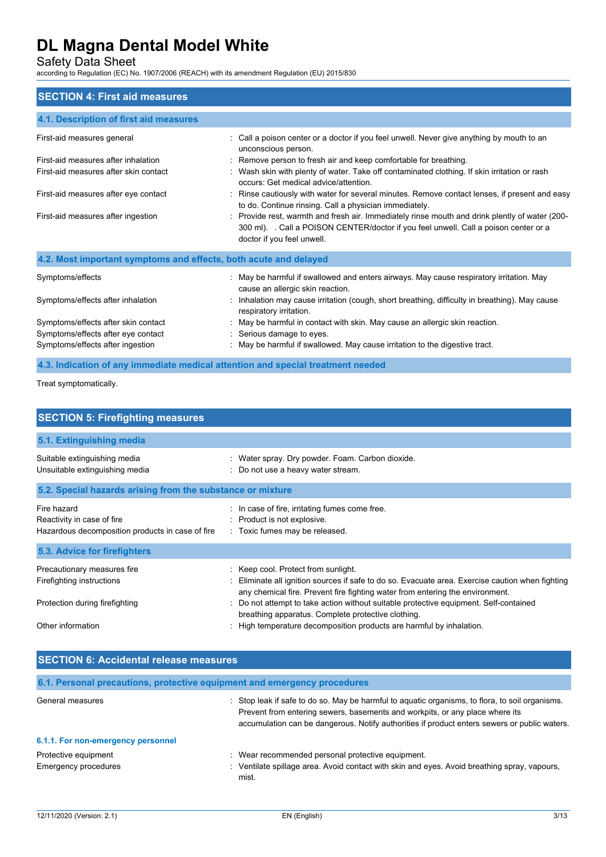Safety Data Sheet

according to Regulation (EC) No. 1907/2006 (REACH) with its amendment Regulation (EU) 2015/830

### **SECTION 4: First aid measures**

| 4.1. Description of first aid measures                           |                                                                                                                                                                                                                    |
|------------------------------------------------------------------|--------------------------------------------------------------------------------------------------------------------------------------------------------------------------------------------------------------------|
| First-aid measures general                                       | : Call a poison center or a doctor if you feel unwell. Never give anything by mouth to an<br>unconscious person.                                                                                                   |
| First-aid measures after inhalation                              | : Remove person to fresh air and keep comfortable for breathing.                                                                                                                                                   |
| First-aid measures after skin contact                            | : Wash skin with plenty of water. Take off contaminated clothing. If skin irritation or rash<br>occurs: Get medical advice/attention.                                                                              |
| First-aid measures after eye contact                             | : Rinse cautiously with water for several minutes. Remove contact lenses, if present and easy<br>to do. Continue rinsing. Call a physician immediately.                                                            |
| First-aid measures after ingestion                               | : Provide rest, warmth and fresh air. Immediately rinse mouth and drink plently of water (200-<br>300 ml). Call a POISON CENTER/doctor if you feel unwell. Call a poison center or a<br>doctor if you feel unwell. |
| 4.2. Most important symptoms and effects, both acute and delayed |                                                                                                                                                                                                                    |
| Symptoms/effects                                                 | : May be harmful if swallowed and enters airways. May cause respiratory irritation. May<br>cause an allergic skin reaction.                                                                                        |
| Symptoms/effects after inhalation                                | : Inhalation may cause irritation (cough, short breathing, difficulty in breathing). May cause<br>respiratory irritation.                                                                                          |
| Symptoms/effects after skin contact                              | : May be harmful in contact with skin. May cause an allergic skin reaction.                                                                                                                                        |
| Symptoms/effects after eye contact                               | : Serious damage to eyes.                                                                                                                                                                                          |
| Symptoms/effects after ingestion                                 | : May be harmful if swallowed. May cause irritation to the digestive tract.                                                                                                                                        |

**4.3. Indication of any immediate medical attention and special treatment needed**

Treat symptomatically.

| <b>SECTION 5: Firefighting measures</b>                                                       |                                                                                                                                                                                                                                                                                                                   |  |  |
|-----------------------------------------------------------------------------------------------|-------------------------------------------------------------------------------------------------------------------------------------------------------------------------------------------------------------------------------------------------------------------------------------------------------------------|--|--|
| 5.1. Extinguishing media                                                                      |                                                                                                                                                                                                                                                                                                                   |  |  |
| Suitable extinguishing media<br>Unsuitable extinguishing media                                | : Water spray. Dry powder. Foam. Carbon dioxide.<br>: Do not use a heavy water stream.                                                                                                                                                                                                                            |  |  |
| 5.2. Special hazards arising from the substance or mixture                                    |                                                                                                                                                                                                                                                                                                                   |  |  |
| Fire hazard<br>Reactivity in case of fire<br>Hazardous decomposition products in case of fire | : In case of fire, irritating fumes come free.<br>: Product is not explosive.<br>: Toxic fumes may be released.                                                                                                                                                                                                   |  |  |
| 5.3. Advice for firefighters                                                                  |                                                                                                                                                                                                                                                                                                                   |  |  |
| Precautionary measures fire<br>Firefighting instructions<br>Protection during firefighting    | : Keep cool. Protect from sunlight.<br>: Eliminate all ignition sources if safe to do so. Evacuate area. Exercise caution when fighting<br>any chemical fire. Prevent fire fighting water from entering the environment.<br>: Do not attempt to take action without suitable protective equipment. Self-contained |  |  |
| Other information                                                                             | breathing apparatus. Complete protective clothing.<br>High temperature decomposition products are harmful by inhalation.                                                                                                                                                                                          |  |  |

| <b>SECTION 6: Accidental release measures</b> |                                                                                                                                                                                                                                                                                 |  |
|-----------------------------------------------|---------------------------------------------------------------------------------------------------------------------------------------------------------------------------------------------------------------------------------------------------------------------------------|--|
|                                               | 6.1. Personal precautions, protective equipment and emergency procedures                                                                                                                                                                                                        |  |
| General measures                              | : Stop leak if safe to do so. May be harmful to aquatic organisms, to flora, to soil organisms.<br>Prevent from entering sewers, basements and workpits, or any place where its<br>accumulation can be dangerous. Notify authorities if product enters sewers or public waters. |  |
| 6.1.1. For non-emergency personnel            |                                                                                                                                                                                                                                                                                 |  |
| Protective equipment                          | : Wear recommended personal protective equipment.                                                                                                                                                                                                                               |  |
| Emergency procedures                          | : Ventilate spillage area. Avoid contact with skin and eyes. Avoid breathing spray, vapours,<br>mist.                                                                                                                                                                           |  |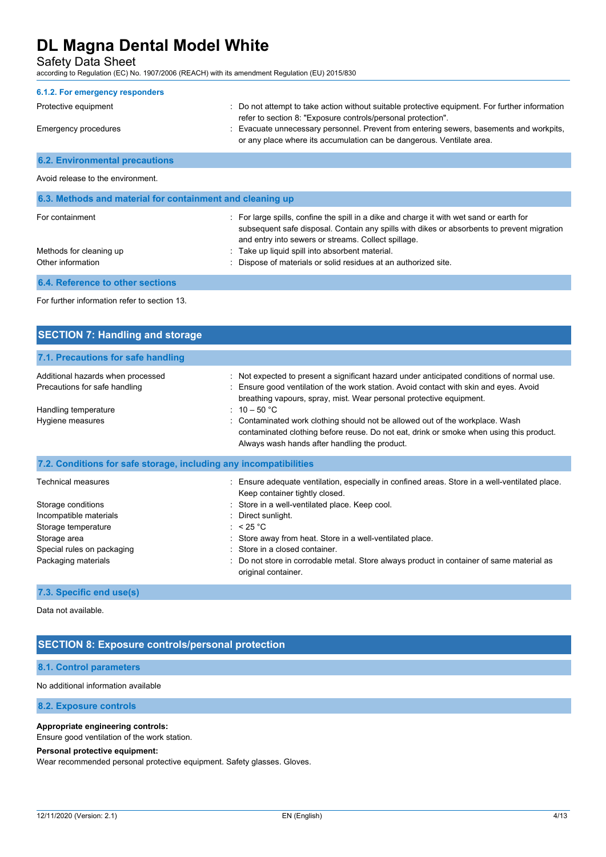Safety Data Sheet

according to Regulation (EC) No. 1907/2006 (REACH) with its amendment Regulation (EU) 2015/830

| 6.1.2. For emergency responders       |                                                                                                                                                                  |
|---------------------------------------|------------------------------------------------------------------------------------------------------------------------------------------------------------------|
| Protective equipment                  | : Do not attempt to take action without suitable protective equipment. For further information<br>refer to section 8. "Exposure controls/personal protection".   |
| Emergency procedures                  | : Evacuate unnecessary personnel. Prevent from entering sewers, basements and workpits,<br>or any place where its accumulation can be dangerous. Ventilate area. |
| <b>6.2. Environmental precautions</b> |                                                                                                                                                                  |

#### Avoid release to the environment.

| 6.3. Methods and material for containment and cleaning up |                                                                                                                                                                                                                                               |  |
|-----------------------------------------------------------|-----------------------------------------------------------------------------------------------------------------------------------------------------------------------------------------------------------------------------------------------|--|
| For containment                                           | : For large spills, confine the spill in a dike and charge it with wet sand or earth for<br>subsequent safe disposal. Contain any spills with dikes or absorbents to prevent migration<br>and entry into sewers or streams. Collect spillage. |  |
| Methods for cleaning up                                   | : Take up liquid spill into absorbent material.                                                                                                                                                                                               |  |
| Other information                                         | Dispose of materials or solid residues at an authorized site.                                                                                                                                                                                 |  |
| <b>6.4. Reference to other sections</b>                   |                                                                                                                                                                                                                                               |  |

For further information refer to section 13.

| <b>SECTION 7: Handling and storage</b>                             |                                                                                                                                                                                                                                                             |
|--------------------------------------------------------------------|-------------------------------------------------------------------------------------------------------------------------------------------------------------------------------------------------------------------------------------------------------------|
| 7.1. Precautions for safe handling                                 |                                                                                                                                                                                                                                                             |
| Additional hazards when processed<br>Precautions for safe handling | : Not expected to present a significant hazard under anticipated conditions of normal use.<br>: Ensure good ventilation of the work station. Avoid contact with skin and eyes. Avoid<br>breathing vapours, spray, mist. Wear personal protective equipment. |
| Handling temperature                                               | : $10 - 50$ °C                                                                                                                                                                                                                                              |
| Hygiene measures                                                   | : Contaminated work clothing should not be allowed out of the workplace. Wash<br>contaminated clothing before reuse. Do not eat, drink or smoke when using this product.<br>Always wash hands after handling the product.                                   |
| 7.2. Conditions for safe storage, including any incompatibilities  |                                                                                                                                                                                                                                                             |
| Technical measures                                                 | : Ensure adequate ventilation, especially in confined areas. Store in a well-ventilated place.<br>Keep container tightly closed.                                                                                                                            |
| Storage conditions                                                 | : Store in a well-ventilated place. Keep cool.                                                                                                                                                                                                              |
| Incompatible materials                                             | : Direct sunlight.                                                                                                                                                                                                                                          |
| Storage temperature                                                | : $< 25 °C$                                                                                                                                                                                                                                                 |
| Storage area                                                       | Store away from heat. Store in a well-ventilated place.                                                                                                                                                                                                     |
| Special rules on packaging                                         | : Store in a closed container.                                                                                                                                                                                                                              |
| Packaging materials                                                | Do not store in corrodable metal. Store always product in container of same material as<br>original container.                                                                                                                                              |

## **7.3. Specific end use(s)**

Data not available.

## **SECTION 8: Exposure controls/personal protection**

### **8.1. Control parameters**

No additional information available

### **8.2. Exposure controls**

#### **Appropriate engineering controls:**

Ensure good ventilation of the work station.

### **Personal protective equipment:**

Wear recommended personal protective equipment. Safety glasses. Gloves.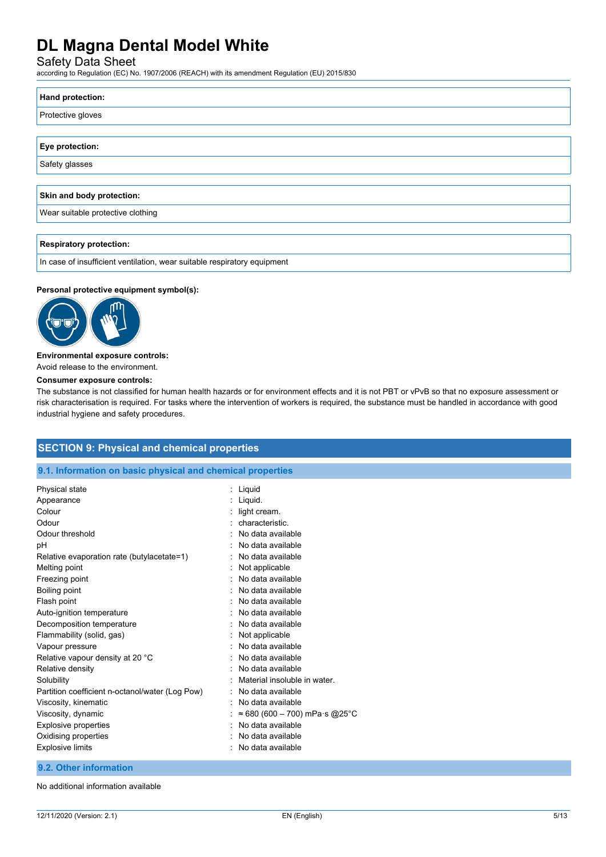Safety Data Sheet

according to Regulation (EC) No. 1907/2006 (REACH) with its amendment Regulation (EU) 2015/830

| Hand protection:                  |
|-----------------------------------|
| Protective gloves                 |
|                                   |
| Eye protection:                   |
| Safety glasses                    |
|                                   |
| Skin and body protection:         |
| Wear suitable protective clothing |
|                                   |
| <b>Respiratory protection:</b>    |
|                                   |

In case of insufficient ventilation, wear suitable respiratory equipment

### **Personal protective equipment symbol(s):**



#### **Environmental exposure controls:**

Avoid release to the environment.

#### **Consumer exposure controls:**

The substance is not classified for human health hazards or for environment effects and it is not PBT or vPvB so that no exposure assessment or risk characterisation is required. For tasks where the intervention of workers is required, the substance must be handled in accordance with good industrial hygiene and safety procedures.

## **SECTION 9: Physical and chemical properties**

#### **9.1. Information on basic physical and chemical properties**

| Physical state                                  | Liquid                        |
|-------------------------------------------------|-------------------------------|
| Appearance                                      | Liquid.                       |
| Colour                                          | light cream.                  |
| Odour                                           | characteristic.               |
| Odour threshold                                 | No data available             |
| рH                                              | No data available             |
| Relative evaporation rate (butylacetate=1)      | No data available             |
| Melting point                                   | Not applicable                |
| Freezing point                                  | No data available             |
| Boiling point                                   | No data available             |
| Flash point                                     | No data available             |
| Auto-ignition temperature                       | No data available             |
| Decomposition temperature                       | No data available             |
| Flammability (solid, gas)                       | Not applicable                |
| Vapour pressure                                 | No data available             |
| Relative vapour density at 20 °C                | No data available             |
| Relative density                                | No data available             |
| Solubility                                      | Material insoluble in water.  |
| Partition coefficient n-octanol/water (Log Pow) | No data available             |
| Viscosity, kinematic                            | No data available             |
| Viscosity, dynamic                              | ≈ 680 (600 – 700) mPa·s @25°C |
| <b>Explosive properties</b>                     | No data available             |
| Oxidising properties                            | No data available             |
| <b>Explosive limits</b>                         | No data available             |
|                                                 |                               |

### **9.2. Other information**

No additional information available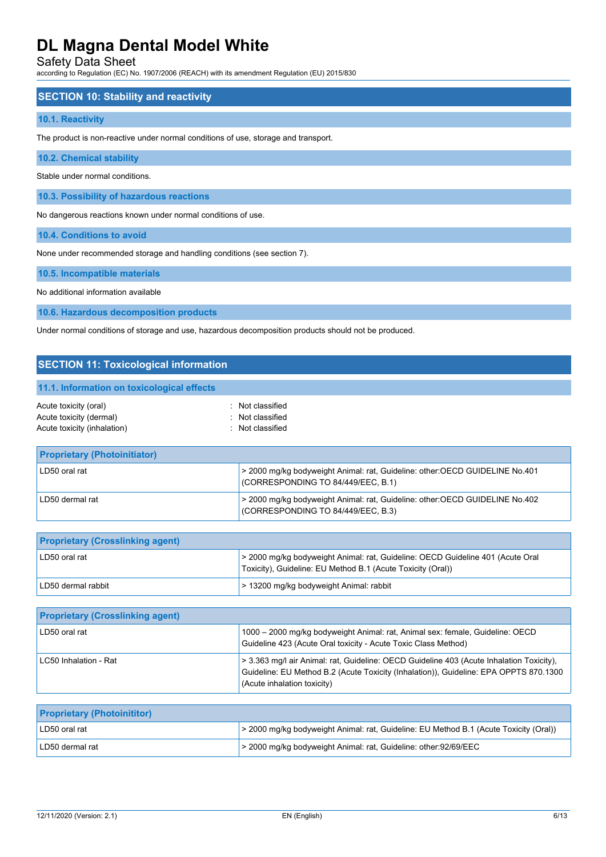Safety Data Sheet

according to Regulation (EC) No. 1907/2006 (REACH) with its amendment Regulation (EU) 2015/830

### **SECTION 10: Stability and reactivity**

#### **10.1. Reactivity**

The product is non-reactive under normal conditions of use, storage and transport.

**10.2. Chemical stability**

Stable under normal conditions.

**10.3. Possibility of hazardous reactions**

No dangerous reactions known under normal conditions of use.

**10.4. Conditions to avoid**

None under recommended storage and handling conditions (see section 7).

**10.5. Incompatible materials**

No additional information available

**10.6. Hazardous decomposition products**

Under normal conditions of storage and use, hazardous decomposition products should not be produced.

| <b>SECTION 11: Toxicological information</b>                                    |                                                                                                                    |  |
|---------------------------------------------------------------------------------|--------------------------------------------------------------------------------------------------------------------|--|
| 11.1. Information on toxicological effects                                      |                                                                                                                    |  |
| Acute toxicity (oral)<br>Acute toxicity (dermal)<br>Acute toxicity (inhalation) | : Not classified<br>: Not classified<br>· Not classified                                                           |  |
| <b>Proprietary (Photoinitiator)</b>                                             |                                                                                                                    |  |
| LD50 oral rat                                                                   | > 2000 mg/kg bodyweight Animal: rat, Guideline: other: OECD GUIDELINE No.401<br>(CORRESPONDING TO 84/449/EEC, B.1) |  |
| LD50 dermal rat                                                                 | > 2000 mg/kg bodyweight Animal: rat, Guideline: other: OECD GUIDELINE No.402                                       |  |

| <b>Proprietary (Crosslinking agent)</b> |                                                                                                                                               |
|-----------------------------------------|-----------------------------------------------------------------------------------------------------------------------------------------------|
| <sup>∣</sup> LD50 oral rat              | > 2000 mg/kg bodyweight Animal: rat, Guideline: OECD Guideline 401 (Acute Oral<br>Toxicity), Guideline: EU Method B.1 (Acute Toxicity (Oral)) |
| LD50 dermal rabbit                      | > 13200 mg/kg bodyweight Animal: rabbit                                                                                                       |

(CORRESPONDING TO 84/449/EEC, B.3)

| <b>Proprietary (Crosslinking agent)</b> |                                                                                                                                                                                                                  |
|-----------------------------------------|------------------------------------------------------------------------------------------------------------------------------------------------------------------------------------------------------------------|
| LD50 oral rat                           | 1000 – 2000 mg/kg bodyweight Animal: rat, Animal sex: female, Guideline: OECD<br>Guideline 423 (Acute Oral toxicity - Acute Toxic Class Method)                                                                  |
| LC50 Inhalation - Rat                   | > 3.363 mg/l air Animal: rat, Guideline: OECD Guideline 403 (Acute Inhalation Toxicity),<br>Guideline: EU Method B.2 (Acute Toxicity (Inhalation)), Guideline: EPA OPPTS 870.1300<br>(Acute inhalation toxicity) |

| <b>Proprietary (Photoinititor)</b> |                                                                                       |
|------------------------------------|---------------------------------------------------------------------------------------|
| LD50 oral rat                      | > 2000 mg/kg bodyweight Animal: rat, Guideline: EU Method B.1 (Acute Toxicity (Oral)) |
| LD50 dermal rat                    | > 2000 mg/kg bodyweight Animal: rat, Guideline: other:92/69/EEC                       |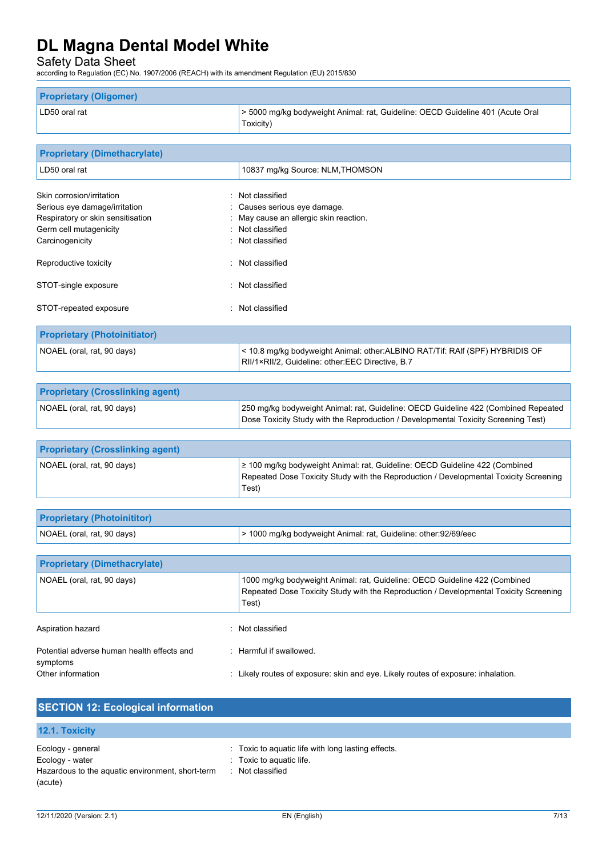Safety Data Sheet

according to Regulation (EC) No. 1907/2006 (REACH) with its amendment Regulation (EU) 2015/830

| <b>Proprietary (Oligomer)</b> |                                                                                             |  |
|-------------------------------|---------------------------------------------------------------------------------------------|--|
| LD50 oral rat                 | > 5000 mg/kg bodyweight Animal: rat, Guideline: OECD Guideline 401 (Acute Oral<br>Toxicity) |  |

| <b>Proprietary (Dimethacrylate)</b> |                                                                              |  |
|-------------------------------------|------------------------------------------------------------------------------|--|
| LD50 oral rat                       | 10837 mg/kg Source: NLM, THOMSON                                             |  |
| Skin corrosion/irritation           | : Not classified                                                             |  |
| Serious eye damage/irritation       | : Causes serious eye damage.                                                 |  |
| Respiratory or skin sensitisation   | : May cause an allergic skin reaction.                                       |  |
| Germ cell mutagenicity              | : Not classified                                                             |  |
| Carcinogenicity                     | : Not classified                                                             |  |
| Reproductive toxicity               | : Not classified                                                             |  |
| STOT-single exposure                | : Not classified                                                             |  |
| STOT-repeated exposure              | : Not classified                                                             |  |
| <b>Proprietary (Photoinitiator)</b> |                                                                              |  |
| NOAEL (oral, rat, 90 days)          | < 10.8 mg/kg bodyweight Animal: other:ALBINO RAT/Tif: RAIf (SPF) HYBRIDIS OF |  |

|                                         | RII/1×RII/2, Guideline: other:EEC Directive, B.7                                   |
|-----------------------------------------|------------------------------------------------------------------------------------|
|                                         |                                                                                    |
| <b>Proprietary (Crosslinking agent)</b> |                                                                                    |
| NOAEL (oral, rat, 90 days)              | 250 mg/kg bodyweight Animal: rat, Guideline: OECD Guideline 422 (Combined Repeated |

Dose Toxicity Study with the Reproduction / Developmental Toxicity Screening Test)

| <b>Proprietary (Crosslinking agent)</b> |                                                                                                                                                                               |
|-----------------------------------------|-------------------------------------------------------------------------------------------------------------------------------------------------------------------------------|
| NOAEL (oral, rat, 90 days)              | 2 100 mg/kg bodyweight Animal: rat, Guideline: OECD Guideline 422 (Combined<br>Repeated Dose Toxicity Study with the Reproduction / Developmental Toxicity Screening<br>Test) |

| <b>Proprietary (Photoinititor)</b> |                                                                 |
|------------------------------------|-----------------------------------------------------------------|
| NOAEL (oral, rat, 90 days)         | > 1000 mg/kg bodyweight Animal: rat, Guideline: other:92/69/eec |

| <b>Proprietary (Dimethacrylate)</b>                    |                                                                                                                                                                              |  |
|--------------------------------------------------------|------------------------------------------------------------------------------------------------------------------------------------------------------------------------------|--|
| NOAEL (oral, rat, 90 days)                             | 1000 mg/kg bodyweight Animal: rat, Guideline: OECD Guideline 422 (Combined<br>Repeated Dose Toxicity Study with the Reproduction / Developmental Toxicity Screening<br>Test) |  |
| Aspiration hazard<br>Not classified<br>۰               |                                                                                                                                                                              |  |
| Potential adverse human health effects and<br>symptoms | . Harmful if swallowed                                                                                                                                                       |  |
| Other information                                      | : Likely routes of exposure: skin and eye. Likely routes of exposure: inhalation.                                                                                            |  |

| <b>SECTION 12: Ecological information</b>                           |                                                    |  |  |
|---------------------------------------------------------------------|----------------------------------------------------|--|--|
| <b>12.1. Toxicity</b>                                               |                                                    |  |  |
| Ecology - general                                                   | : Toxic to aquatic life with long lasting effects. |  |  |
| Ecology - water<br>Hazardous to the aquatic environment, short-term | : Toxic to aquatic life.<br>: Not classified       |  |  |
| (acute)                                                             |                                                    |  |  |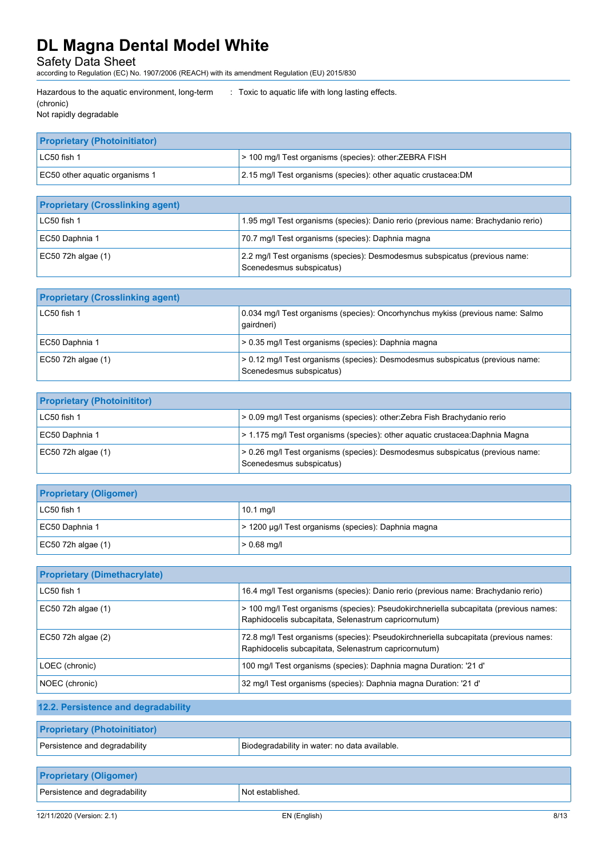Safety Data Sheet

according to Regulation (EC) No. 1907/2006 (REACH) with its amendment Regulation (EU) 2015/830

| Hazardous to the aquatic environment, long-term | : Toxic to aquatic life with long lasting effects. |
|-------------------------------------------------|----------------------------------------------------|
| (chronic)                                       |                                                    |

|  | Not rapidly degradable |
|--|------------------------|

| <b>Proprietary (Photoinitiator)</b> |                                                                 |  |
|-------------------------------------|-----------------------------------------------------------------|--|
| $IC50$ fish 1                       | > 100 mg/l Test organisms (species): other: ZEBRA FISH          |  |
| EC50 other aguatic organisms 1      | 2.15 mg/l Test organisms (species): other aquatic crustacea: DM |  |

| <b>Proprietary (Crosslinking agent)</b> |                                                                                                        |
|-----------------------------------------|--------------------------------------------------------------------------------------------------------|
| LC50 fish 1                             | 1.95 mg/l Test organisms (species): Danio rerio (previous name: Brachydanio rerio)                     |
| EC50 Daphnia 1                          | 70.7 mg/l Test organisms (species): Daphnia magna                                                      |
| EC50 72h algae $(1)$                    | 2.2 mg/l Test organisms (species): Desmodesmus subspicatus (previous name:<br>Scenedesmus subspicatus) |

| <b>Proprietary (Crosslinking agent)</b> |                                                                                                           |
|-----------------------------------------|-----------------------------------------------------------------------------------------------------------|
| $LC50$ fish 1                           | 0.034 mg/l Test organisms (species): Oncorhynchus mykiss (previous name: Salmo<br>qairdneri)              |
| EC50 Daphnia 1                          | > 0.35 mg/l Test organisms (species): Daphnia magna                                                       |
| $EC50$ 72h algae $(1)$                  | > 0.12 mg/l Test organisms (species): Desmodesmus subspicatus (previous name:<br>Scenedesmus subspicatus) |

| <b>Proprietary (Photoinititor)</b> |                                                                                                           |
|------------------------------------|-----------------------------------------------------------------------------------------------------------|
| LC50 fish 1                        | > 0.09 mg/l Test organisms (species): other:Zebra Fish Brachydanio rerio                                  |
| EC50 Daphnia 1                     | > 1.175 mg/l Test organisms (species): other aquatic crustacea: Daphnia Magna                             |
| EC50 72h algae (1)                 | > 0.26 mg/l Test organisms (species): Desmodesmus subspicatus (previous name:<br>Scenedesmus subspicatus) |

| <b>Proprietary (Oligomer)</b> |                                                     |  |
|-------------------------------|-----------------------------------------------------|--|
| $LC50$ fish 1                 | $10.1$ mg/l                                         |  |
| EC50 Daphnia 1                | > 1200 μg/l Test organisms (species): Daphnia magna |  |
| $EC50$ 72h algae (1)          | $> 0.68$ mg/l                                       |  |

| <b>Proprietary (Dimethacrylate)</b> |                                                                                                                                               |  |  |
|-------------------------------------|-----------------------------------------------------------------------------------------------------------------------------------------------|--|--|
| $LC50$ fish 1                       | 16.4 mg/l Test organisms (species): Danio rerio (previous name: Brachydanio rerio)                                                            |  |  |
| EC50 72h algae (1)                  | > 100 mg/l Test organisms (species): Pseudokirchneriella subcapitata (previous names:<br>Raphidocelis subcapitata, Selenastrum capricornutum) |  |  |
| $EC50$ 72h algae $(2)$              | 72.8 mg/l Test organisms (species): Pseudokirchneriella subcapitata (previous names:<br>Raphidocelis subcapitata, Selenastrum capricornutum)  |  |  |
| LOEC (chronic)                      | 100 mg/l Test organisms (species): Daphnia magna Duration: '21 d'                                                                             |  |  |
| NOEC (chronic)                      | 32 mg/l Test organisms (species): Daphnia magna Duration: '21 d'                                                                              |  |  |

# **12.2. Persistence and degradability**

| <b>Proprietary (Photoinitiator)</b> |                                               |
|-------------------------------------|-----------------------------------------------|
| Persistence and degradability       | Biodegradability in water: no data available. |

| <b>Proprietary (Oligomer)</b> |                               |
|-------------------------------|-------------------------------|
| Persistence and degradability | <sup>1</sup> Not established. |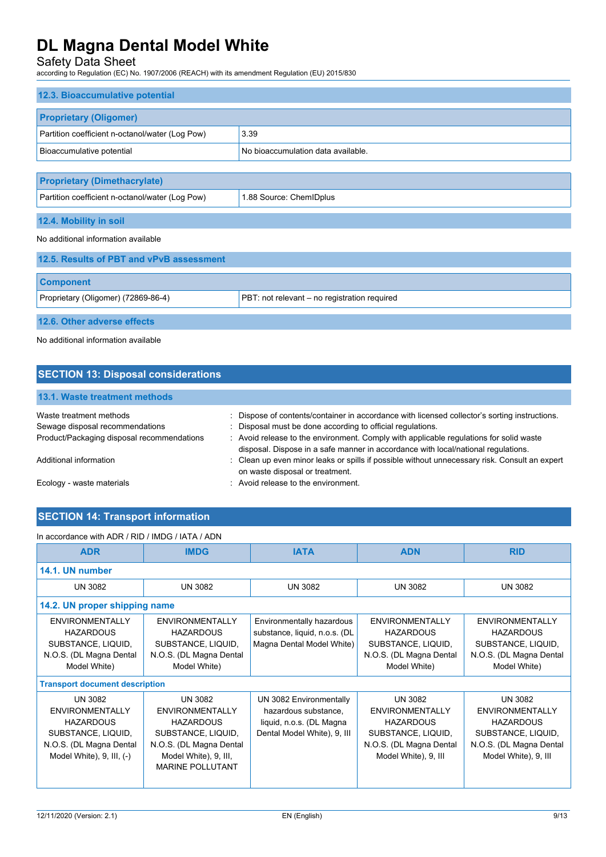## Safety Data Sheet

according to Regulation (EC) No. 1907/2006 (REACH) with its amendment Regulation (EU) 2015/830

| 12.3. Bioaccumulative potential                 |                                    |  |
|-------------------------------------------------|------------------------------------|--|
| <b>Proprietary (Oligomer)</b>                   |                                    |  |
| Partition coefficient n-octanol/water (Log Pow) | 3.39                               |  |
| Bioaccumulative potential                       | No bioaccumulation data available. |  |
|                                                 |                                    |  |
| <b>Proprietary (Dimethacrylate)</b>             |                                    |  |
| Partition coefficient n-octanol/water (Log Pow) | 1.88 Source: ChemIDplus            |  |
| 12.4. Mobility in soil                          |                                    |  |
| No additional information available             |                                    |  |
| 12.5 Results of PRT and vPvR assessment         |                                    |  |

| <b>I AIVI INCOURCY OF FULL MINE TO A COOLDONING</b> |                                              |
|-----------------------------------------------------|----------------------------------------------|
|                                                     |                                              |
| <b>Component</b>                                    |                                              |
| Proprietary (Oligomer) (72869-86-4)                 | PBT: not relevant – no registration required |
|                                                     |                                              |
| 12.6. Other adverse effects                         |                                              |

No additional information available

| <b>SECTION 13: Disposal considerations</b>                 |                                                                                                                                                                             |
|------------------------------------------------------------|-----------------------------------------------------------------------------------------------------------------------------------------------------------------------------|
| 13.1. Waste treatment methods                              |                                                                                                                                                                             |
| Waste treatment methods<br>Sewage disposal recommendations | : Dispose of contents/container in accordance with licensed collector's sorting instructions.<br>: Disposal must be done according to official regulations.                 |
| Product/Packaging disposal recommendations                 | : Avoid release to the environment. Comply with applicable regulations for solid waste<br>disposal. Dispose in a safe manner in accordance with local/national regulations. |
| Additional information                                     | : Clean up even minor leaks or spills if possible without unnecessary risk. Consult an expert<br>on waste disposal or treatment.                                            |
| Ecology - waste materials                                  | : Avoid release to the environment.                                                                                                                                         |

# **SECTION 14: Transport information**

| In accordance with ADR / RID / IMDG / IATA / ADN                                                                                                |                                                                                                                                                            |                                                                                                            |                                                                                                                                       |                                                                                                                                       |
|-------------------------------------------------------------------------------------------------------------------------------------------------|------------------------------------------------------------------------------------------------------------------------------------------------------------|------------------------------------------------------------------------------------------------------------|---------------------------------------------------------------------------------------------------------------------------------------|---------------------------------------------------------------------------------------------------------------------------------------|
| <b>ADR</b>                                                                                                                                      | <b>IMDG</b>                                                                                                                                                | <b>IATA</b>                                                                                                | <b>ADN</b>                                                                                                                            | <b>RID</b>                                                                                                                            |
| 14.1. UN number                                                                                                                                 |                                                                                                                                                            |                                                                                                            |                                                                                                                                       |                                                                                                                                       |
| <b>UN 3082</b>                                                                                                                                  | <b>UN 3082</b>                                                                                                                                             | <b>UN 3082</b>                                                                                             | <b>UN 3082</b>                                                                                                                        | <b>UN 3082</b>                                                                                                                        |
|                                                                                                                                                 | 14.2. UN proper shipping name                                                                                                                              |                                                                                                            |                                                                                                                                       |                                                                                                                                       |
| <b>ENVIRONMENTALLY</b><br><b>HAZARDOUS</b><br>SUBSTANCE, LIQUID,<br>N.O.S. (DL Magna Dental<br>Model White)                                     | <b>ENVIRONMENTALLY</b><br><b>HAZARDOUS</b><br>SUBSTANCE, LIQUID,<br>N.O.S. (DL Magna Dental<br>Model White)                                                | Environmentally hazardous<br>substance, liquid, n.o.s. (DL<br>Magna Dental Model White)                    | ENVIRONMENTALLY<br><b>HAZARDOUS</b><br>SUBSTANCE, LIQUID,<br>N.O.S. (DL Magna Dental<br>Model White)                                  | <b>ENVIRONMENTALLY</b><br><b>HAZARDOUS</b><br>SUBSTANCE, LIQUID,<br>N.O.S. (DL Magna Dental<br>Model White)                           |
| <b>Transport document description</b>                                                                                                           |                                                                                                                                                            |                                                                                                            |                                                                                                                                       |                                                                                                                                       |
| <b>UN 3082</b><br><b>ENVIRONMENTALLY</b><br><b>HAZARDOUS</b><br>SUBSTANCE, LIQUID,<br>N.O.S. (DL Magna Dental<br>Model White), $9$ , III, $(-)$ | UN 3082<br><b>ENVIRONMENTALLY</b><br><b>HAZARDOUS</b><br>SUBSTANCE, LIQUID,<br>N.O.S. (DL Magna Dental<br>Model White), 9, III,<br><b>MARINE POLLUTANT</b> | UN 3082 Environmentally<br>hazardous substance,<br>liquid, n.o.s. (DL Magna<br>Dental Model White), 9, III | <b>UN 3082</b><br><b>ENVIRONMENTALLY</b><br><b>HAZARDOUS</b><br>SUBSTANCE, LIQUID,<br>N.O.S. (DL Magna Dental<br>Model White), 9, III | <b>UN 3082</b><br><b>ENVIRONMENTALLY</b><br><b>HAZARDOUS</b><br>SUBSTANCE, LIQUID,<br>N.O.S. (DL Magna Dental<br>Model White), 9, III |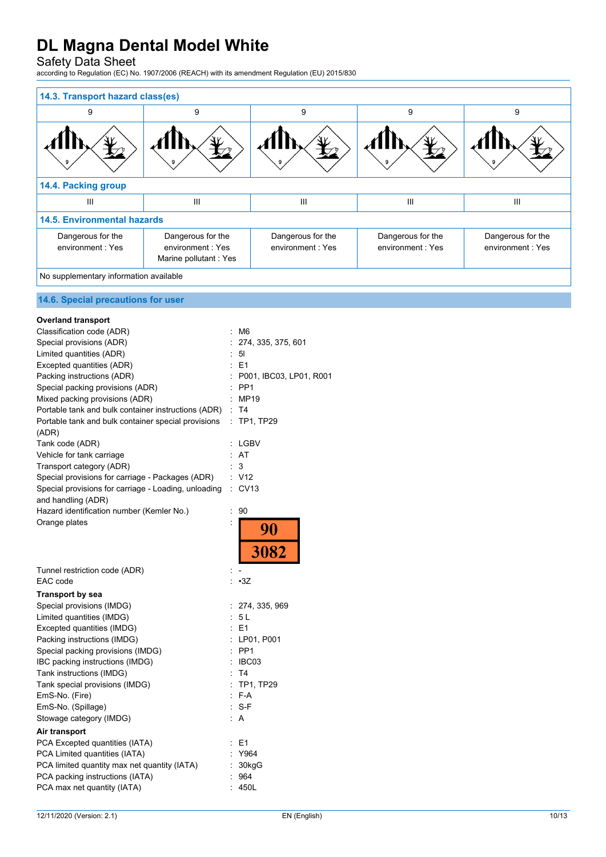## Safety Data Sheet

according to Regulation (EC) No. 1907/2006 (REACH) with its amendment Regulation (EU) 2015/830

| 14.3. Transport hazard class(es)       |                                                                |                                       |                                       |                                       |
|----------------------------------------|----------------------------------------------------------------|---------------------------------------|---------------------------------------|---------------------------------------|
| 9                                      | 9                                                              | 9                                     | 9                                     | 9                                     |
|                                        |                                                                | 9                                     |                                       |                                       |
| 14.4. Packing group                    |                                                                |                                       |                                       |                                       |
| Ш                                      | III                                                            | $\mathbf{III}$                        | III                                   | $\mathbf{III}$                        |
| <b>14.5. Environmental hazards</b>     |                                                                |                                       |                                       |                                       |
| Dangerous for the<br>environment: Yes  | Dangerous for the<br>environment: Yes<br>Marine pollutant: Yes | Dangerous for the<br>environment: Yes | Dangerous for the<br>environment: Yes | Dangerous for the<br>environment: Yes |
| No supplementary information available |                                                                |                                       |                                       |                                       |
| 14.6. Special precautions for user     |                                                                |                                       |                                       |                                       |

| <b>Overland transport</b>                                    |    |                           |
|--------------------------------------------------------------|----|---------------------------|
| Classification code (ADR)                                    |    | M6                        |
| Special provisions (ADR)                                     |    | : 274, 335, 375, 601      |
| Limited quantities (ADR)                                     |    | $\therefore$ 51           |
| Excepted quantities (ADR)                                    |    | $E = 1$                   |
| Packing instructions (ADR)                                   |    | : P001, IBC03, LP01, R001 |
| Special packing provisions (ADR)                             |    | $:$ PP1                   |
| Mixed packing provisions (ADR)                               |    | : MP19                    |
| Portable tank and bulk container instructions (ADR)          |    | $\therefore$ T4           |
| Portable tank and bulk container special provisions<br>(ADR) |    | : TP1, TP29               |
| Tank code (ADR)                                              |    | : LGBV                    |
| Vehicle for tank carriage                                    |    | : AT                      |
| Transport category (ADR)                                     |    | 3                         |
| Special provisions for carriage - Packages (ADR)             |    | : V12                     |
| Special provisions for carriage - Loading, unloading         |    | $\therefore$ CV13         |
| and handling (ADR)                                           |    |                           |
| Hazard identification number (Kemler No.)                    | t  | 90                        |
| Orange plates                                                |    | $\frac{90}{3082}$         |
|                                                              |    |                           |
| Tunnel restriction code (ADR)                                |    |                           |
| EAC code                                                     |    | $-3Z$                     |
| <b>Transport by sea</b>                                      |    |                           |
| Special provisions (IMDG)                                    |    | : 274, 335, 969           |
| Limited quantities (IMDG)                                    |    | : 5L                      |
| Excepted quantities (IMDG)                                   |    | $E = 1$                   |
| Packing instructions (IMDG)                                  |    | : LP01, P001              |
| Special packing provisions (IMDG)                            |    | $:$ PP1                   |
| IBC packing instructions (IMDG)                              |    | IBC03                     |
| Tank instructions (IMDG)                                     |    | T4                        |
| Tank special provisions (IMDG)                               |    | : TP1, TP29               |
| EmS-No. (Fire)                                               |    | $F-A$                     |
| EmS-No. (Spillage)                                           |    | $: S-F$                   |
| Stowage category (IMDG)                                      | ۰, | A                         |
| Air transport                                                |    |                           |
| PCA Excepted quantities (IATA)                               |    | $E = 1$                   |
| PCA Limited quantities (IATA)                                |    | : Y964                    |
| PCA limited quantity max net quantity (IATA)                 |    | 30kgG                     |
| PCA packing instructions (IATA)                              |    | 964                       |
| PCA max net quantity (IATA)                                  |    | 450L                      |
|                                                              |    |                           |
|                                                              |    |                           |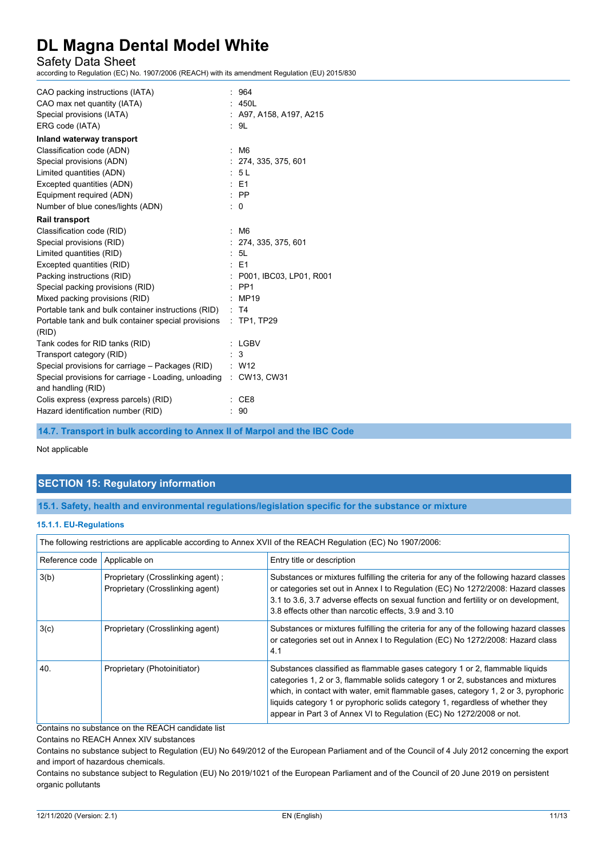Safety Data Sheet

according to Regulation (EC) No. 1907/2006 (REACH) with its amendment Regulation (EU) 2015/830

| CAO packing instructions (IATA)                                   |                      | 964                                |
|-------------------------------------------------------------------|----------------------|------------------------------------|
| CAO max net quantity (IATA)                                       |                      | 450L                               |
| Special provisions (IATA)                                         |                      | $\therefore$ A97, A158, A197, A215 |
| ERG code (IATA)                                                   |                      | : 9L                               |
| Inland waterway transport                                         |                      |                                    |
| Classification code (ADN)                                         | $\ddot{\phantom{a}}$ | M6                                 |
| Special provisions (ADN)                                          |                      | : 274, 335, 375, 601               |
| Limited quantities (ADN)                                          |                      | : 5L                               |
| Excepted quantities (ADN)                                         |                      | $E = 1$                            |
| Equipment required (ADN)                                          |                      | $\therefore$ PP                    |
| Number of blue cones/lights (ADN)                                 |                      | $\colon 0$                         |
| <b>Rail transport</b>                                             |                      |                                    |
| Classification code (RID)                                         | t                    | M6                                 |
| Special provisions (RID)                                          |                      | : 274, 335, 375, 601               |
| Limited quantities (RID)                                          |                      | : 5L                               |
| Excepted quantities (RID)                                         |                      | $E = 51$                           |
| Packing instructions (RID)                                        |                      | : P001, IBC03, LP01, R001          |
| Special packing provisions (RID)                                  |                      | $\therefore$ PP1                   |
| Mixed packing provisions (RID)                                    |                      | MP19                               |
| Portable tank and bulk container instructions (RID)               |                      | : T4                               |
| Portable tank and bulk container special provisions               |                      | : TP1, TP29                        |
| (RID)                                                             |                      |                                    |
| Tank codes for RID tanks (RID)                                    |                      | : LGBV                             |
| Transport category (RID)                                          |                      | 3                                  |
| Special provisions for carriage – Packages (RID) : W12            |                      |                                    |
| Special provisions for carriage - Loading, unloading : CW13, CW31 |                      |                                    |
| and handling (RID)                                                |                      |                                    |
| Colis express (express parcels) (RID)                             |                      | CE8                                |
| Hazard identification number (RID)                                |                      | 90                                 |

**14.7. Transport in bulk according to Annex II of Marpol and the IBC Code**

Not applicable

## **SECTION 15: Regulatory information**

**15.1. Safety, health and environmental regulations/legislation specific for the substance or mixture**

#### **15.1.1. EU-Regulations**

| The following restrictions are applicable according to Annex XVII of the REACH Regulation (EC) No 1907/2006: |                                                                       |                                                                                                                                                                                                                                                                                                                                                                                                                |
|--------------------------------------------------------------------------------------------------------------|-----------------------------------------------------------------------|----------------------------------------------------------------------------------------------------------------------------------------------------------------------------------------------------------------------------------------------------------------------------------------------------------------------------------------------------------------------------------------------------------------|
| Reference code                                                                                               | Applicable on                                                         | Entry title or description                                                                                                                                                                                                                                                                                                                                                                                     |
| 3(b)                                                                                                         | Proprietary (Crosslinking agent);<br>Proprietary (Crosslinking agent) | Substances or mixtures fulfilling the criteria for any of the following hazard classes<br>or categories set out in Annex I to Regulation (EC) No 1272/2008: Hazard classes<br>3.1 to 3.6, 3.7 adverse effects on sexual function and fertility or on development,<br>3.8 effects other than narcotic effects, 3.9 and 3.10                                                                                     |
| 3(c)                                                                                                         | Proprietary (Crosslinking agent)                                      | Substances or mixtures fulfilling the criteria for any of the following hazard classes<br>or categories set out in Annex I to Regulation (EC) No 1272/2008: Hazard class<br>4.1                                                                                                                                                                                                                                |
| 40.                                                                                                          | Proprietary (Photoinitiator)                                          | Substances classified as flammable gases category 1 or 2, flammable liquids<br>categories 1, 2 or 3, flammable solids category 1 or 2, substances and mixtures<br>which, in contact with water, emit flammable gases, category 1, 2 or 3, pyrophoric<br>liquids category 1 or pyrophoric solids category 1, regardless of whether they<br>appear in Part 3 of Annex VI to Regulation (EC) No 1272/2008 or not. |

Contains no substance on the REACH candidate list

Contains no REACH Annex XIV substances

Contains no substance subject to Regulation (EU) No 649/2012 of the European Parliament and of the Council of 4 July 2012 concerning the export and import of hazardous chemicals.

Contains no substance subject to Regulation (EU) No 2019/1021 of the European Parliament and of the Council of 20 June 2019 on persistent organic pollutants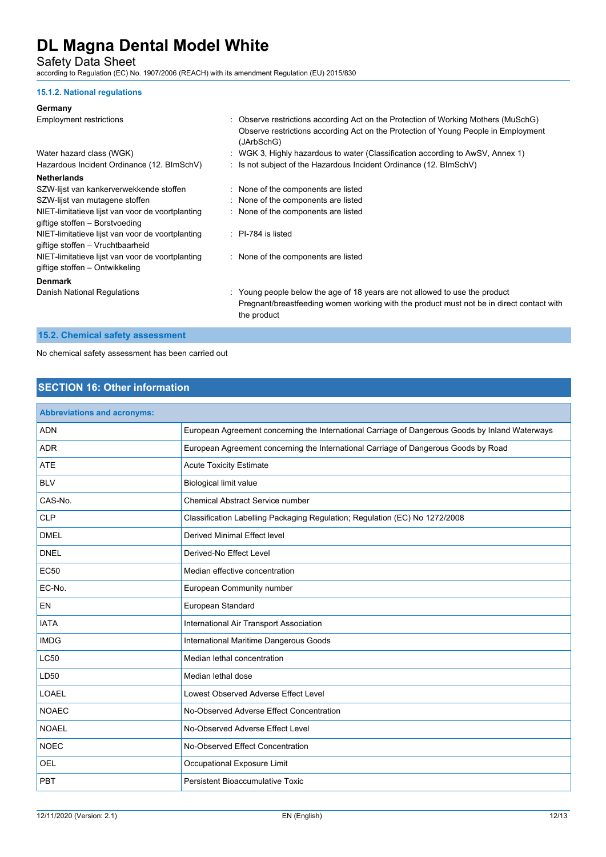Safety Data Sheet

according to Regulation (EC) No. 1907/2006 (REACH) with its amendment Regulation (EU) 2015/830

#### **15.1.2. National regulations**

### **Germany**

| Germany                                          |                                                                                                                                                                                        |
|--------------------------------------------------|----------------------------------------------------------------------------------------------------------------------------------------------------------------------------------------|
| <b>Employment restrictions</b>                   | : Observe restrictions according Act on the Protection of Working Mothers (MuSchG)<br>Observe restrictions according Act on the Protection of Young People in Employment<br>(JArbSchG) |
| Water hazard class (WGK)                         | : WGK 3, Highly hazardous to water (Classification according to AwSV, Annex 1)                                                                                                         |
| Hazardous Incident Ordinance (12. BImSchV)       | : Is not subject of the Hazardous Incident Ordinance (12. BImSchV)                                                                                                                     |
| <b>Netherlands</b>                               |                                                                                                                                                                                        |
| SZW-lijst van kankerverwekkende stoffen          | : None of the components are listed                                                                                                                                                    |
| SZW-lijst van mutagene stoffen                   | : None of the components are listed                                                                                                                                                    |
| NIET-limitatieve lijst van voor de voortplanting | : None of the components are listed                                                                                                                                                    |
| giftige stoffen - Borstvoeding                   |                                                                                                                                                                                        |
| NIET-limitatieve lijst van voor de voortplanting | $\therefore$ PI-784 is listed                                                                                                                                                          |
| giftige stoffen - Vruchtbaarheid                 |                                                                                                                                                                                        |
| NIET-limitatieve lijst van voor de voortplanting | : None of the components are listed                                                                                                                                                    |
| giftige stoffen - Ontwikkeling                   |                                                                                                                                                                                        |
| <b>Denmark</b>                                   |                                                                                                                                                                                        |
| Danish National Regulations                      | : Young people below the age of 18 years are not allowed to use the product<br>Pregnant/breastfeeding women working with the product must not be in direct contact with<br>the product |
|                                                  |                                                                                                                                                                                        |

## **15.2. Chemical safety assessment**

No chemical safety assessment has been carried out

## **SECTION 16: Other information**

| <b>Abbreviations and acronyms:</b> |                                                                                                 |
|------------------------------------|-------------------------------------------------------------------------------------------------|
| <b>ADN</b>                         | European Agreement concerning the International Carriage of Dangerous Goods by Inland Waterways |
| <b>ADR</b>                         | European Agreement concerning the International Carriage of Dangerous Goods by Road             |
| <b>ATE</b>                         | <b>Acute Toxicity Estimate</b>                                                                  |
| <b>BLV</b>                         | <b>Biological limit value</b>                                                                   |
| CAS-No.                            | Chemical Abstract Service number                                                                |
| <b>CLP</b>                         | Classification Labelling Packaging Regulation; Regulation (EC) No 1272/2008                     |
| <b>DMEL</b>                        | <b>Derived Minimal Effect level</b>                                                             |
| <b>DNEL</b>                        | Derived-No Effect Level                                                                         |
| <b>EC50</b>                        | Median effective concentration                                                                  |
| EC-No.                             | European Community number                                                                       |
| <b>EN</b>                          | European Standard                                                                               |
| <b>IATA</b>                        | International Air Transport Association                                                         |
| <b>IMDG</b>                        | International Maritime Dangerous Goods                                                          |
| <b>LC50</b>                        | Median lethal concentration                                                                     |
| LD50                               | Median lethal dose                                                                              |
| <b>LOAEL</b>                       | Lowest Observed Adverse Effect Level                                                            |
| <b>NOAEC</b>                       | No-Observed Adverse Effect Concentration                                                        |
| <b>NOAEL</b>                       | No-Observed Adverse Effect Level                                                                |
| <b>NOEC</b>                        | No-Observed Effect Concentration                                                                |
| <b>OEL</b>                         | Occupational Exposure Limit                                                                     |
| PBT                                | Persistent Bioaccumulative Toxic                                                                |
|                                    |                                                                                                 |